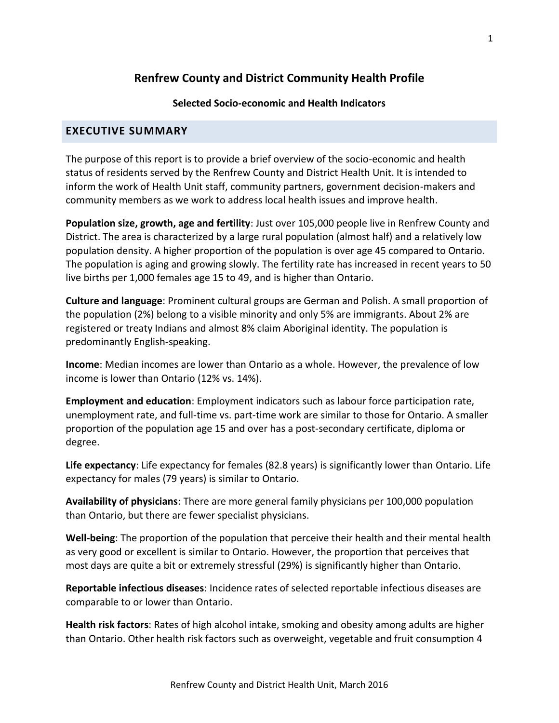## **Renfrew County and District Community Health Profile**

## **Selected Socio-economic and Health Indicators**

## **EXECUTIVE SUMMARY**

The purpose of this report is to provide a brief overview of the socio-economic and health status of residents served by the Renfrew County and District Health Unit. It is intended to inform the work of Health Unit staff, community partners, government decision-makers and community members as we work to address local health issues and improve health.

**Population size, growth, age and fertility**: Just over 105,000 people live in Renfrew County and District. The area is characterized by a large rural population (almost half) and a relatively low population density. A higher proportion of the population is over age 45 compared to Ontario. The population is aging and growing slowly. The fertility rate has increased in recent years to 50 live births per 1,000 females age 15 to 49, and is higher than Ontario.

**Culture and language**: Prominent cultural groups are German and Polish. A small proportion of the population (2%) belong to a visible minority and only 5% are immigrants. About 2% are registered or treaty Indians and almost 8% claim Aboriginal identity. The population is predominantly English-speaking.

**Income**: Median incomes are lower than Ontario as a whole. However, the prevalence of low income is lower than Ontario (12% vs. 14%).

**Employment and education**: Employment indicators such as labour force participation rate, unemployment rate, and full-time vs. part-time work are similar to those for Ontario. A smaller proportion of the population age 15 and over has a post-secondary certificate, diploma or degree.

**Life expectancy**: Life expectancy for females (82.8 years) is significantly lower than Ontario. Life expectancy for males (79 years) is similar to Ontario.

**Availability of physicians**: There are more general family physicians per 100,000 population than Ontario, but there are fewer specialist physicians.

**Well-being**: The proportion of the population that perceive their health and their mental health as very good or excellent is similar to Ontario. However, the proportion that perceives that most days are quite a bit or extremely stressful (29%) is significantly higher than Ontario.

**Reportable infectious diseases**: Incidence rates of selected reportable infectious diseases are comparable to or lower than Ontario.

**Health risk factors**: Rates of high alcohol intake, smoking and obesity among adults are higher than Ontario. Other health risk factors such as overweight, vegetable and fruit consumption 4